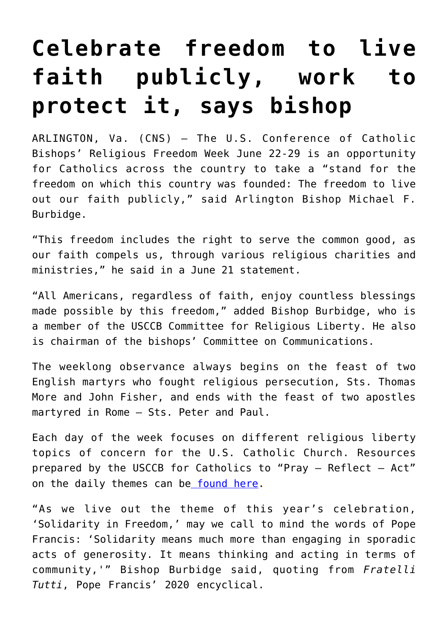## **[Celebrate freedom to live](https://www.osvnews.com/2021/06/22/celebrate-freedom-to-live-faith-publicly-work-to-protect-it-says-bishop/) [faith publicly, work to](https://www.osvnews.com/2021/06/22/celebrate-freedom-to-live-faith-publicly-work-to-protect-it-says-bishop/) [protect it, says bishop](https://www.osvnews.com/2021/06/22/celebrate-freedom-to-live-faith-publicly-work-to-protect-it-says-bishop/)**

ARLINGTON, Va. (CNS) — The U.S. Conference of Catholic Bishops' Religious Freedom Week June 22-29 is an opportunity for Catholics across the country to take a "stand for the freedom on which this country was founded: The freedom to live out our faith publicly," said Arlington Bishop Michael F. Burbidge.

"This freedom includes the right to serve the common good, as our faith compels us, through various religious charities and ministries," he said in a June 21 statement.

"All Americans, regardless of faith, enjoy countless blessings made possible by this freedom," added Bishop Burbidge, who is a member of the USCCB Committee for Religious Liberty. He also is chairman of the bishops' Committee on Communications.

The weeklong observance always begins on the feast of two English martyrs who fought religious persecution, Sts. Thomas More and John Fisher, and ends with the feast of two apostles martyred in Rome — Sts. Peter and Paul.

Each day of the week focuses on different religious liberty topics of concern for the U.S. Catholic Church. Resources prepared by the USCCB for Catholics to "Pray — Reflect — Act" on the daily themes can be [found here](http://www.usccb.org/ReligiousFreedomWeek).

"As we live out the theme of this year's celebration, 'Solidarity in Freedom,' may we call to mind the words of Pope Francis: 'Solidarity means much more than engaging in sporadic acts of generosity. It means thinking and acting in terms of community,'" Bishop Burbidge said, quoting from *Fratelli Tutti*, Pope Francis' 2020 encyclical.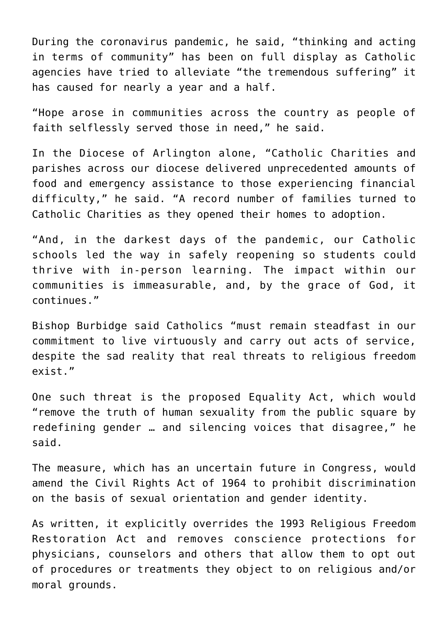During the coronavirus pandemic, he said, "thinking and acting in terms of community" has been on full display as Catholic agencies have tried to alleviate "the tremendous suffering" it has caused for nearly a year and a half.

"Hope arose in communities across the country as people of faith selflessly served those in need," he said.

In the Diocese of Arlington alone, "Catholic Charities and parishes across our diocese delivered unprecedented amounts of food and emergency assistance to those experiencing financial difficulty," he said. "A record number of families turned to Catholic Charities as they opened their homes to adoption.

"And, in the darkest days of the pandemic, our Catholic schools led the way in safely reopening so students could thrive with in-person learning. The impact within our communities is immeasurable, and, by the grace of God, it continues."

Bishop Burbidge said Catholics "must remain steadfast in our commitment to live virtuously and carry out acts of service, despite the sad reality that real threats to religious freedom exist."

One such threat is the proposed Equality Act, which would "remove the truth of human sexuality from the public square by redefining gender … and silencing voices that disagree," he said.

The measure, which has an uncertain future in Congress, would amend the Civil Rights Act of 1964 to prohibit discrimination on the basis of sexual orientation and gender identity.

As written, it explicitly overrides the 1993 Religious Freedom Restoration Act and removes conscience protections for physicians, counselors and others that allow them to opt out of procedures or treatments they object to on religious and/or moral grounds.